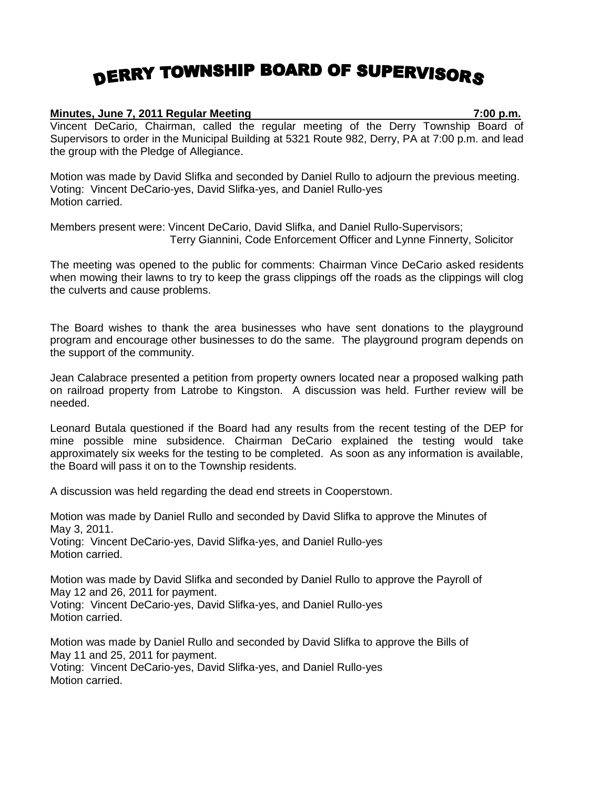## DERRY TOWNSHIP BOARD OF SUPERVISORS

## **Minutes, June 7, 2011 Regular Meeting 7:00 p.m.**

Vincent DeCario, Chairman, called the regular meeting of the Derry Township Board of Supervisors to order in the Municipal Building at 5321 Route 982, Derry, PA at 7:00 p.m. and lead the group with the Pledge of Allegiance.

Motion was made by David Slifka and seconded by Daniel Rullo to adjourn the previous meeting. Voting: Vincent DeCario-yes, David Slifka-yes, and Daniel Rullo-yes Motion carried.

Members present were: Vincent DeCario, David Slifka, and Daniel Rullo-Supervisors; Terry Giannini, Code Enforcement Officer and Lynne Finnerty, Solicitor

The meeting was opened to the public for comments: Chairman Vince DeCario asked residents when mowing their lawns to try to keep the grass clippings off the roads as the clippings will clog the culverts and cause problems.

The Board wishes to thank the area businesses who have sent donations to the playground program and encourage other businesses to do the same. The playground program depends on the support of the community.

Jean Calabrace presented a petition from property owners located near a proposed walking path on railroad property from Latrobe to Kingston. A discussion was held. Further review will be needed.

Leonard Butala questioned if the Board had any results from the recent testing of the DEP for mine possible mine subsidence. Chairman DeCario explained the testing would take approximately six weeks for the testing to be completed. As soon as any information is available, the Board will pass it on to the Township residents.

A discussion was held regarding the dead end streets in Cooperstown.

Motion was made by Daniel Rullo and seconded by David Slifka to approve the Minutes of May 3, 2011. Voting: Vincent DeCario-yes, David Slifka-yes, and Daniel Rullo-yes Motion carried.

Motion was made by David Slifka and seconded by Daniel Rullo to approve the Payroll of May 12 and 26, 2011 for payment. Voting: Vincent DeCario-yes, David Slifka-yes, and Daniel Rullo-yes Motion carried.

Motion was made by Daniel Rullo and seconded by David Slifka to approve the Bills of May 11 and 25, 2011 for payment. Voting: Vincent DeCario-yes, David Slifka-yes, and Daniel Rullo-yes Motion carried.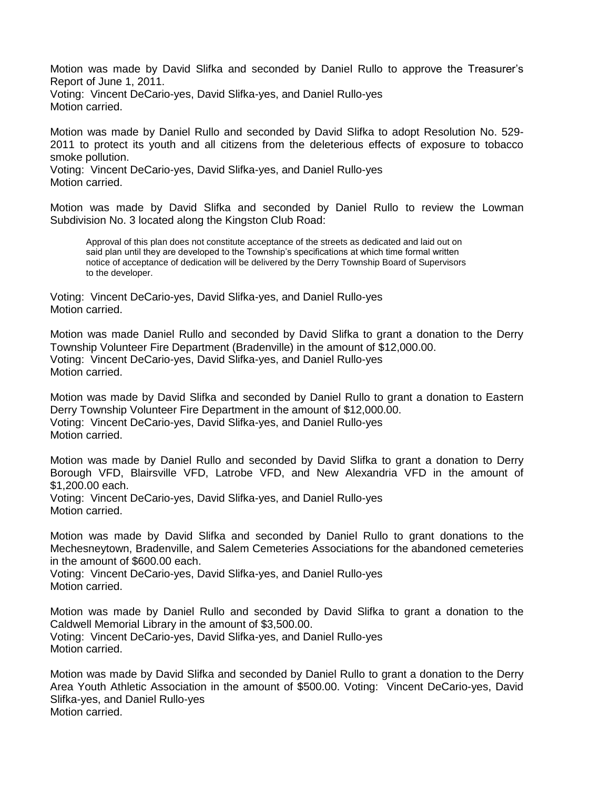Motion was made by David Slifka and seconded by Daniel Rullo to approve the Treasurer's Report of June 1, 2011.

Voting: Vincent DeCario-yes, David Slifka-yes, and Daniel Rullo-yes Motion carried.

Motion was made by Daniel Rullo and seconded by David Slifka to adopt Resolution No. 529- 2011 to protect its youth and all citizens from the deleterious effects of exposure to tobacco smoke pollution.

Voting: Vincent DeCario-yes, David Slifka-yes, and Daniel Rullo-yes Motion carried.

Motion was made by David Slifka and seconded by Daniel Rullo to review the Lowman Subdivision No. 3 located along the Kingston Club Road:

Approval of this plan does not constitute acceptance of the streets as dedicated and laid out on said plan until they are developed to the Township's specifications at which time formal written notice of acceptance of dedication will be delivered by the Derry Township Board of Supervisors to the developer.

Voting: Vincent DeCario-yes, David Slifka-yes, and Daniel Rullo-yes Motion carried.

Motion was made Daniel Rullo and seconded by David Slifka to grant a donation to the Derry Township Volunteer Fire Department (Bradenville) in the amount of \$12,000.00. Voting: Vincent DeCario-yes, David Slifka-yes, and Daniel Rullo-yes Motion carried.

Motion was made by David Slifka and seconded by Daniel Rullo to grant a donation to Eastern Derry Township Volunteer Fire Department in the amount of \$12,000.00. Voting: Vincent DeCario-yes, David Slifka-yes, and Daniel Rullo-yes Motion carried.

Motion was made by Daniel Rullo and seconded by David Slifka to grant a donation to Derry Borough VFD, Blairsville VFD, Latrobe VFD, and New Alexandria VFD in the amount of \$1,200.00 each.

Voting: Vincent DeCario-yes, David Slifka-yes, and Daniel Rullo-yes Motion carried.

Motion was made by David Slifka and seconded by Daniel Rullo to grant donations to the Mechesneytown, Bradenville, and Salem Cemeteries Associations for the abandoned cemeteries in the amount of \$600.00 each.

Voting: Vincent DeCario-yes, David Slifka-yes, and Daniel Rullo-yes Motion carried.

Motion was made by Daniel Rullo and seconded by David Slifka to grant a donation to the Caldwell Memorial Library in the amount of \$3,500.00. Voting: Vincent DeCario-yes, David Slifka-yes, and Daniel Rullo-yes Motion carried.

Motion was made by David Slifka and seconded by Daniel Rullo to grant a donation to the Derry Area Youth Athletic Association in the amount of \$500.00. Voting: Vincent DeCario-yes, David Slifka-yes, and Daniel Rullo-yes Motion carried.